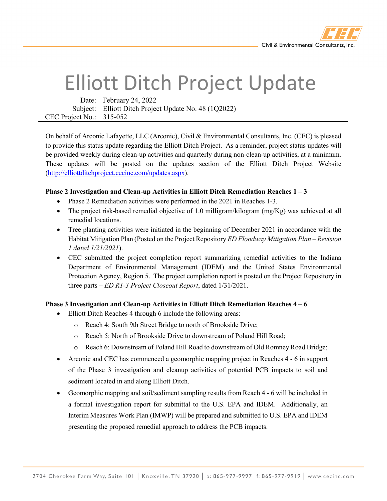

## Elliott Ditch Project Update

Date: February 24, 2022 Subject: Elliott Ditch Project Update No. 48 (1Q2022) CEC Project No.: 315-052

On behalf of Arconic Lafayette, LLC (Arconic), Civil & Environmental Consultants, Inc. (CEC) is pleased to provide this status update regarding the Elliott Ditch Project. As a reminder, project status updates will be provided weekly during clean-up activities and quarterly during non-clean-up activities, at a minimum. These updates will be posted on the updates section of the Elliott Ditch Project Website [\(http://elliottditchproject.cecinc.com/updates.aspx\)](http://elliottditchproject.cecinc.com/updates.aspx).

## **Phase 2 Investigation and Clean-up Activities in Elliott Ditch Remediation Reaches 1 – 3**

- Phase 2 Remediation activities were performed in the 2021 in Reaches 1-3.
- The project risk-based remedial objective of 1.0 milligram/kilogram  $(mg/Kg)$  was achieved at all remedial locations.
- Tree planting activities were initiated in the beginning of December 2021 in accordance with the Habitat Mitigation Plan (Posted on the Project Repository *ED Floodway Mitigation Plan – Revision 1 dated 1/21/2021*).
- CEC submitted the project completion report summarizing remedial activities to the Indiana Department of Environmental Management (IDEM) and the United States Environmental Protection Agency, Region 5. The project completion report is posted on the Project Repository in three parts – *ED R1-3 Project Closeout Report*, dated 1/31/2021.

## **Phase 3 Investigation and Clean-up Activities in Elliott Ditch Remediation Reaches 4 – 6**

- Elliott Ditch Reaches 4 through 6 include the following areas:
	- o Reach 4: South 9th Street Bridge to north of Brookside Drive;
	- o Reach 5: North of Brookside Drive to downstream of Poland Hill Road;
	- o Reach 6: Downstream of Poland Hill Road to downstream of Old Romney Road Bridge;
- Arconic and CEC has commenced a geomorphic mapping project in Reaches 4 6 in support of the Phase 3 investigation and cleanup activities of potential PCB impacts to soil and sediment located in and along Elliott Ditch.
- Geomorphic mapping and soil/sediment sampling results from Reach 4 6 will be included in a formal investigation report for submittal to the U.S. EPA and IDEM. Additionally, an Interim Measures Work Plan (IMWP) will be prepared and submitted to U.S. EPA and IDEM presenting the proposed remedial approach to address the PCB impacts.